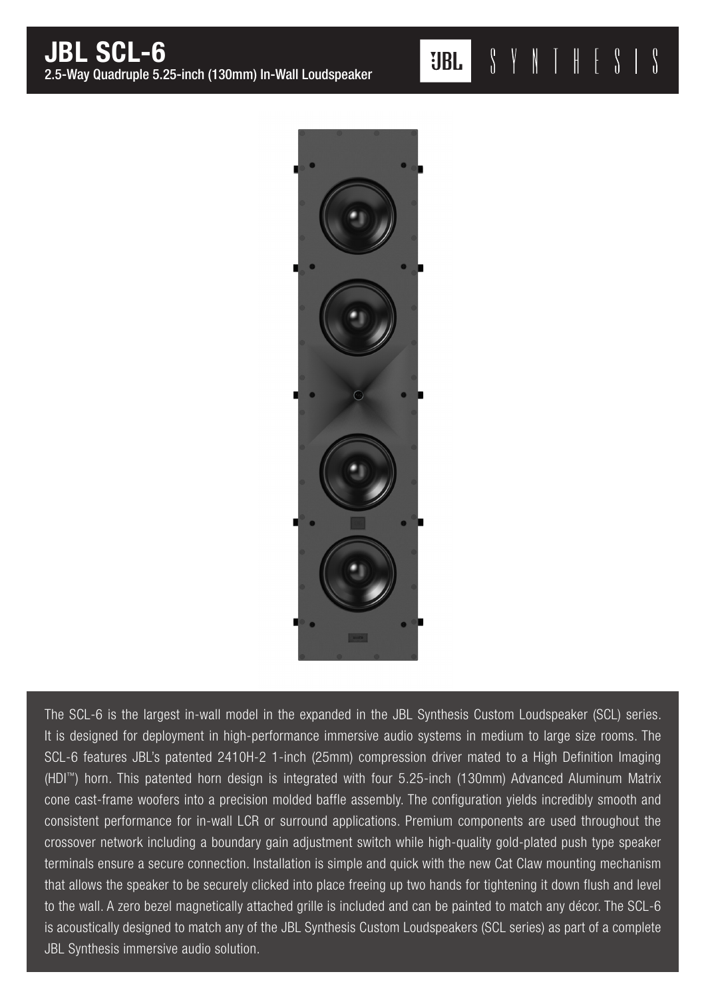$\begin{array}{c} \text{?} \\ \text{?} \end{array} \begin{array}{c} \text{?} \\ \text{?} \end{array} \begin{array}{c} \text{?} \\ \text{?} \end{array}$  $\left\{ \right\}$ **UBL** 



The SCL-6 is the largest in-wall model in the expanded in the JBL Synthesis Custom Loudspeaker (SCL) series. It is designed for deployment in high-performance immersive audio systems in medium to large size rooms. The SCL-6 features JBL's patented 2410H-2 1-inch (25mm) compression driver mated to a High Definition Imaging (HDI™) horn. This patented horn design is integrated with four 5.25-inch (130mm) Advanced Aluminum Matrix cone cast-frame woofers into a precision molded baffle assembly. The configuration yields incredibly smooth and consistent performance for in-wall LCR or surround applications. Premium components are used throughout the crossover network including a boundary gain adjustment switch while high-quality gold-plated push type speaker terminals ensure a secure connection. Installation is simple and quick with the new Cat Claw mounting mechanism that allows the speaker to be securely clicked into place freeing up two hands for tightening it down flush and level to the wall. A zero bezel magnetically attached grille is included and can be painted to match any décor. The SCL-6 is acoustically designed to match any of the JBL Synthesis Custom Loudspeakers (SCL series) as part of a complete JBL Synthesis immersive audio solution.